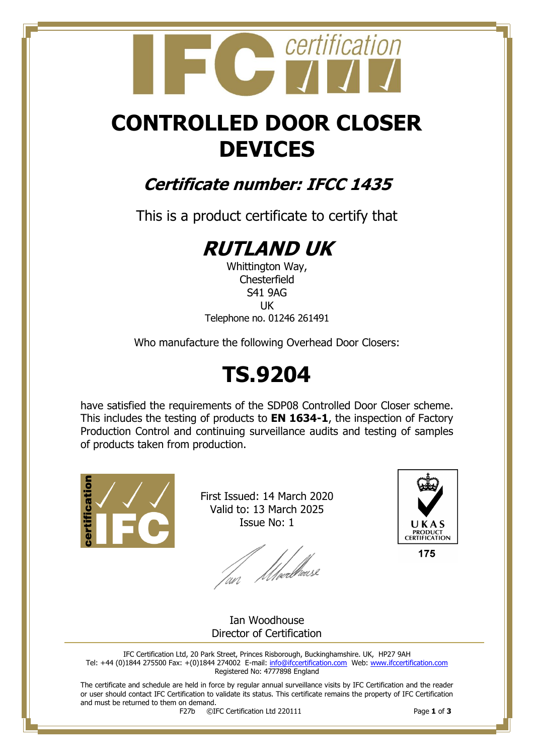## certification

## **CONTROLLED DOOR CLOSER DEVICES**

### **Certificate number: IFCC 1435**

This is a product certificate to certify that

## **RUTLAND UK**

Whittington Way, **Chesterfield** S41 9AG UK Telephone no. 01246 261491

Who manufacture the following Overhead Door Closers:

## **TS.9204**

have satisfied the requirements of the SDP08 Controlled Door Closer scheme. This includes the testing of products to **EN 1634-1**, the inspection of Factory Production Control and continuing surveillance audits and testing of samples of products taken from production.



First Issued: 14 March 2020 Valid to: 13 March 2025 Issue No: 1

lan Moedhouse



175

Ian Woodhouse Director of Certification

IFC Certification Ltd, 20 Park Street, Princes Risborough, Buckinghamshire. UK, HP27 9AH Tel: +44 (0)1844 275500 Fax: +(0)1844 274002 E-mail[: info@ifccertification.com](mailto:info@ifccertification.com) Web: [www.ifccertification.com](http://www.ifccertification.com/) Registered No: 4777898 England

The certificate and schedule are held in force by regular annual surveillance visits by IFC Certification and the reader or user should contact IFC Certification to validate its status. This certificate remains the property of IFC Certification and must be returned to them on demand.<br> $F27b$   $\odot$ I

F27b ©IFC Certification Ltd 220111 Page **1** of **3**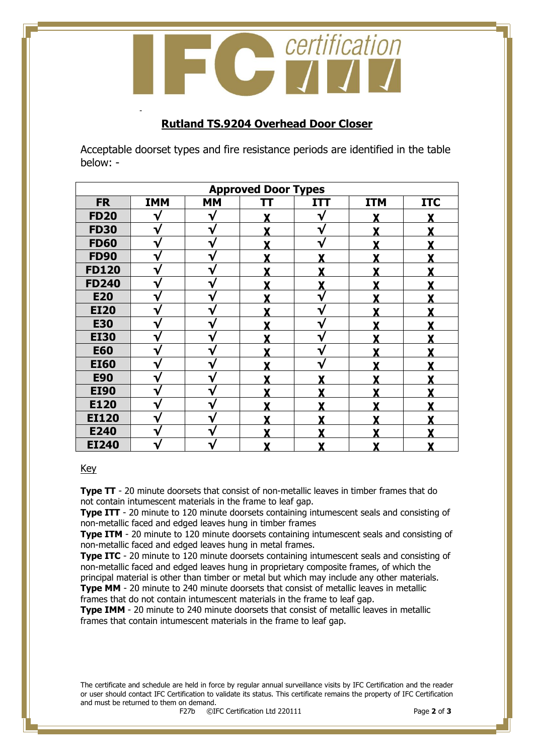certification  $\sqrt{1}$ 

#### **Rutland TS.9204 Overhead Door Closer**

Acceptable doorset types and fire resistance periods are identified in the table below: -

| <b>Approved Door Types</b> |            |           |   |            |            |            |  |
|----------------------------|------------|-----------|---|------------|------------|------------|--|
| <b>FR</b>                  | <b>IMM</b> | <b>MM</b> | π | <b>ITT</b> | <b>ITM</b> | <b>ITC</b> |  |
| <b>FD20</b>                |            | V         |   | ٦.         |            |            |  |
| <b>FD30</b>                | V          | v         |   | V          |            |            |  |
| <b>FD60</b>                | V          | ν         | v | ٦۷         | v          |            |  |
| <b>FD90</b>                | V          | ٦         | v | v          | v          |            |  |
| <b>FD120</b>               | V          | ٦         | v |            | v          |            |  |
| <b>FD240</b>               | V          |           |   |            |            |            |  |
| <b>E20</b>                 | V          | v         |   | V          |            |            |  |
| <b>EI20</b>                | ٦.         |           |   | ٦.         |            |            |  |
| <b>E30</b>                 |            | v         |   |            |            |            |  |
| <b>EI30</b>                | V          | ℩         |   | V          |            |            |  |
| <b>E60</b>                 | V          | v         |   | V          |            |            |  |
| <b>EI60</b>                | V          | ٦ν        | v | ۰.         | v          |            |  |
| <b>E90</b>                 | v          | ٦         |   |            | v          |            |  |
| <b>EI90</b>                | V          |           |   |            |            |            |  |
| E120                       | ٦          |           |   |            |            |            |  |
| <b>EI120</b>               | ٦ν         | ٦         |   |            |            |            |  |
| E240                       | V          |           |   |            |            |            |  |
| <b>EI240</b>               |            |           |   |            |            |            |  |

#### Key

-

**Type TT** - 20 minute doorsets that consist of non-metallic leaves in timber frames that do not contain intumescent materials in the frame to leaf gap.

**Type ITT** - 20 minute to 120 minute doorsets containing intumescent seals and consisting of non-metallic faced and edged leaves hung in timber frames

**Type ITM** - 20 minute to 120 minute doorsets containing intumescent seals and consisting of non-metallic faced and edged leaves hung in metal frames.

**Type ITC** - 20 minute to 120 minute doorsets containing intumescent seals and consisting of non-metallic faced and edged leaves hung in proprietary composite frames, of which the principal material is other than timber or metal but which may include any other materials.

**Type MM** - 20 minute to 240 minute doorsets that consist of metallic leaves in metallic frames that do not contain intumescent materials in the frame to leaf gap.

**Type IMM** - 20 minute to 240 minute doorsets that consist of metallic leaves in metallic frames that contain intumescent materials in the frame to leaf gap.

The certificate and schedule are held in force by regular annual surveillance visits by IFC Certification and the reader or user should contact IFC Certification to validate its status. This certificate remains the property of IFC Certification and must be returned to them on demand.<br> $F27b$   $\odot$ I